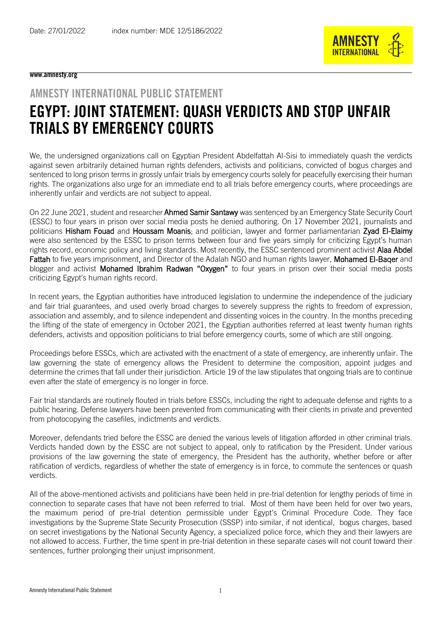

## www.amnesty.org

## AMNESTY INTERNATIONAL PUBLIC STATEMENT EGYPT: JOINT STATEMENT: QUASH VERDICTS AND STOP UNFAIR TRIALS BY EMERGENCY COURTS

We, the undersigned organizations call on Egyptian President Abdelfattah Al-Sisi to immediately quash the verdicts against seven arbitrarily detained human rights defenders, activists and politicians, convicted of bogus charges and sentenced to long prison terms in grossly unfair trials by emergency courts solely for peacefully exercising their human rights. The organizations also urge for an immediate end to all trials before emergency courts, where proceedings are inherently unfair and verdicts are not subject to appeal.

On 22 June 2021, student and researcher **Ahmed Samir Santawy** was sentenced by an Emergency State Security Court (ESSC) to four years in prison over social media posts he denied authoring. On 17 November 2021, journalists and politicians Hisham Fouad and Houssam Moanis; and politician, lawyer and former parliamentarian Zyad El-Elaimy were also sentenced by the ESSC to prison terms between four and five years simply for criticizing Egypt's human rights record, economic policy and living standards. Most recently, the ESSC sentenced prominent activist Alaa Abdel Fattah to five years imprisonment, and Director of the Adalah NGO and human rights lawyer, Mohamed El-Baqer and blogger and activist Mohamed Ibrahim Radwan "Oxygen" to four years in prison over their social media posts criticizing Egypt's human rights record.

In recent years, the Egyptian authorities have introduced legislation to undermine the independence of the judiciary and fair trial guarantees, and used overly broad charges to severely suppress the rights to freedom of expression, association and assembly, and to silence independent and dissenting voices in the country. In the months preceding the lifting of the state of emergency in October 2021, the Egyptian authorities referred at least twenty human rights defenders, activists and opposition politicians to trial before emergency courts, some of which are still ongoing.

Proceedings before ESSCs, which are activated with the enactment of a state of emergency, are inherently unfair. The law governing the state of emergency allows the President to determine the composition, appoint judges and determine the crimes that fall under their jurisdiction. Article 19 of the law stipulates that ongoing trials are to continue even after the state of emergency is no longer in force.

Fair trial standards are routinely flouted in trials before ESSCs, including the right to adequate defense and rights to a public hearing. Defense lawyers have been prevented from communicating with their clients in private and prevented from photocopying the casefiles, indictments and verdicts.

Moreover, defendants tried before the ESSC are denied the various levels of litigation afforded in other criminal trials. Verdicts handed down by the ESSC are not subject to appeal, only to ratification by the President. Under various provisions of the law governing the state of emergency, the President has the authority, whether before or after ratification of verdicts, regardless of whether the state of emergency is in force, to commute the sentences or quash verdicts.

All of the above-mentioned activists and politicians have been held in pre-trial detention for lengthy periods of time in connection to separate cases that have not been referred to trial. Most of them have been held for over two years, the maximum period of pre-trial detention permissible under Egypt's Criminal Procedure Code. They face investigations by the Supreme State Security Prosecution (SSSP) into similar, if not identical, bogus charges, based on secret investigations by the National Security Agency, a specialized police force, which they and their lawyers are not allowed to access. Further, the time spent in pre-trial detention in these separate cases will not count toward their sentences, further prolonging their uniust imprisonment.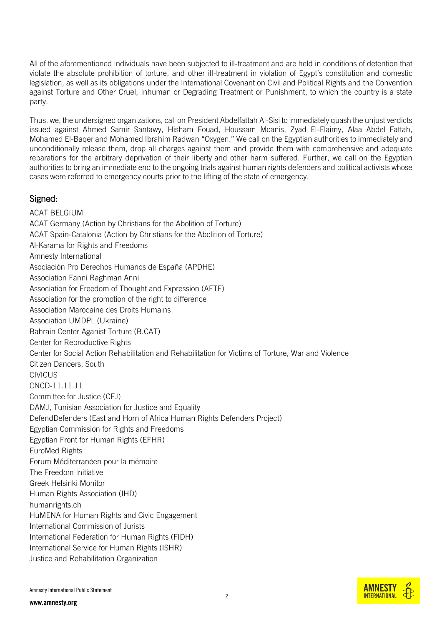All of the aforementioned individuals have been subjected to ill-treatment and are held in conditions of detention that violate the absolute prohibition of torture, and other ill-treatment in violation of Egypt's constitution and domestic legislation, as well as its obligations under the International Covenant on Civil and Political Rights and the Convention against Torture and Other Cruel, Inhuman or Degrading Treatment or Punishment, to which the country is a state party.

Thus, we, the undersigned organizations, call on President Abdelfattah Al-Sisi to immediately quash the unjust verdicts issued against Ahmed Samir Santawy, Hisham Fouad, Houssam Moanis, Zyad El-Elaimy, Alaa Abdel Fattah, Mohamed El-Baqer and Mohamed Ibrahim Radwan "Oxygen." We call on the Egyptian authorities to immediately and unconditionally release them, drop all charges against them and provide them with comprehensive and adequate reparations for the arbitrary deprivation of their liberty and other harm suffered. Further, we call on the Egyptian authorities to bring an immediate end to the ongoing trials against human rights defenders and political activists whose cases were referred to emergency courts prior to the lifting of the state of emergency.

## Signed:

ACAT BELGIUM ACAT Germany (Action by Christians for the Abolition of Torture) ACAT Spain-Catalonia (Action by Christians for the Abolition of Torture) Al-Karama for Rights and Freedoms Amnesty International Asociación Pro Derechos Humanos de España (APDHE) Association Fanni Raghman Anni Association for Freedom of Thought and Expression (AFTE) Association for the promotion of the right to difference Association Marocaine des Droits Humains Association UMDPL (Ukraine) Bahrain Center Aganist Torture (B.CAT) Center for Reproductive Rights Center for Social Action Rehabilitation and Rehabilitation for Victims of Torture, War and Violence Citizen Dancers, South **CIVICUS** CNCD-11.11.11 Committee for Justice (CFJ) DAMJ, Tunisian Association for Justice and Equality DefendDefenders (East and Horn of Africa Human Rights Defenders Project) Egyptian Commission for Rights and Freedoms Egyptian Front for Human Rights (EFHR) EuroMed Rights Forum Méditerranéen pour la mémoire The Freedom Initiative Greek Helsinki Monitor Human Rights Association (IHD) humanrights.ch HuMENA for Human Rights and Civic Engagement International Commission of Jurists International Federation for Human Rights (FIDH) International Service for Human Rights (ISHR) Justice and Rehabilitation Organization